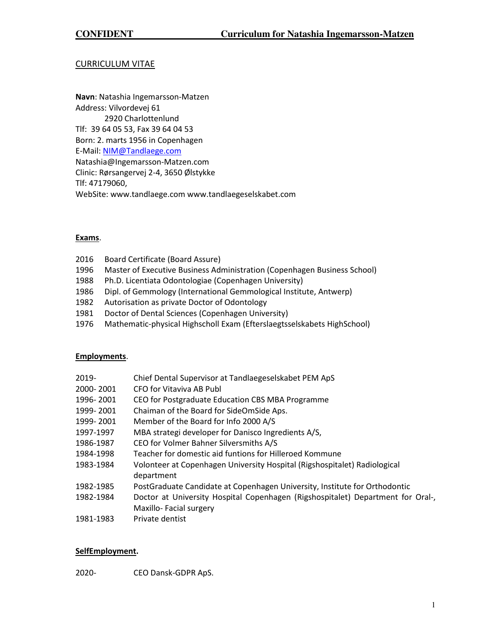# CURRICULUM VITAE

**Navn**: Natashia Ingemarsson-Matzen Address: Vilvordevej 61 2920 Charlottenlund Tlf: 39 64 05 53, Fax 39 64 04 53 Born: 2. marts 1956 in Copenhagen E-Mail[: NIM@Tandlaege.com](mailto:NIM@Tandlaege.com)  Natashia@Ingemarsson-Matzen.com Clinic: Rørsangervej 2-4, 3650 Ølstykke Tlf: 47179060, WebSite: www.tandlaege.com www.tandlaegeselskabet.com

## **Exams**.

- 2016 Board Certificate (Board Assure)
- 1996 Master of Executive Business Administration (Copenhagen Business School)
- 1988 Ph.D. Licentiata Odontologiae (Copenhagen University)
- 1986 Dipl. of Gemmology (International Gemmological Institute, Antwerp)
- 1982 Autorisation as private Doctor of Odontology
- 1981 Doctor of Dental Sciences (Copenhagen University)
- 1976 Mathematic-physical Highscholl Exam (Efterslaegtsselskabets HighSchool)

### **Employments**.

| 2019-     | Chief Dental Supervisor at Tandlaegeselskabet PEM ApS                                   |
|-----------|-----------------------------------------------------------------------------------------|
| 2000-2001 | CFO for Vitaviva AB Publ                                                                |
| 1996-2001 | CEO for Postgraduate Education CBS MBA Programme                                        |
| 1999-2001 | Chaiman of the Board for SideOmSide Aps.                                                |
| 1999-2001 | Member of the Board for Info 2000 A/S                                                   |
| 1997-1997 | MBA strategi developer for Danisco Ingredients A/S,                                     |
| 1986-1987 | CEO for Volmer Bahner Silversmiths A/S                                                  |
| 1984-1998 | Teacher for domestic aid funtions for Hilleroed Kommune                                 |
| 1983-1984 | Volonteer at Copenhagen University Hospital (Rigshospitalet) Radiological<br>department |
| 1982-1985 | PostGraduate Candidate at Copenhagen University, Institute for Orthodontic              |
| 1982-1984 | Doctor at University Hospital Copenhagen (Rigshospitalet) Department for Oral-,         |
|           | Maxillo-Facial surgery                                                                  |
| 1981-1983 | Private dentist                                                                         |

### **SelfEmployment.**

2020- CEO Dansk-GDPR ApS.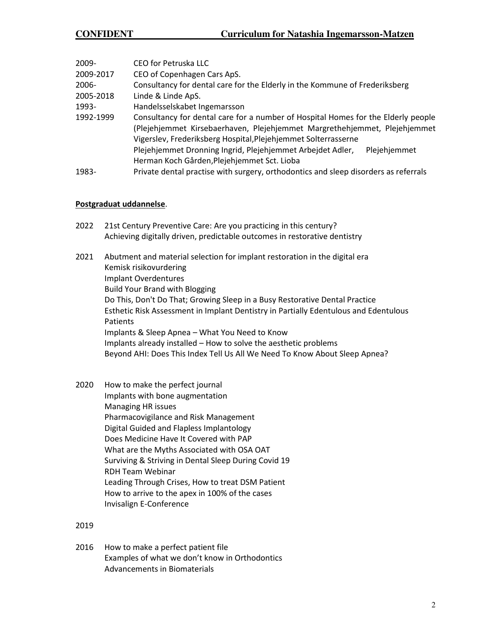| $2009 -$  | CEO for Petruska LLC                                                                |  |  |  |  |  |
|-----------|-------------------------------------------------------------------------------------|--|--|--|--|--|
| 2009-2017 | CEO of Copenhagen Cars ApS.                                                         |  |  |  |  |  |
| $2006 -$  | Consultancy for dental care for the Elderly in the Kommune of Frederiksberg         |  |  |  |  |  |
| 2005-2018 | Linde & Linde ApS.                                                                  |  |  |  |  |  |
| 1993-     | Handelsselskabet Ingemarsson                                                        |  |  |  |  |  |
| 1992-1999 | Consultancy for dental care for a number of Hospital Homes for the Elderly people   |  |  |  |  |  |
|           | (Plejehjemmet Kirsebaerhaven, Plejehjemmet Margrethehjemmet, Plejehjemmet           |  |  |  |  |  |
|           | Vigerslev, Frederiksberg Hospital, Plejehjemmet Solterrasserne                      |  |  |  |  |  |
|           | Plejehjemmet Dronning Ingrid, Plejehjemmet Arbejdet Adler,<br>Plejehjemmet          |  |  |  |  |  |
|           | Herman Koch Gården, Plejehjemmet Sct. Lioba                                         |  |  |  |  |  |
| 1983-     | Private dental practise with surgery, orthodontics and sleep disorders as referrals |  |  |  |  |  |

## **Postgraduat uddannelse**.

| 2022 | 21st Century Preventive Care: Are you practicing in this century?         |
|------|---------------------------------------------------------------------------|
|      | Achieving digitally driven, predictable outcomes in restorative dentistry |

- 2021 [Abutment and material selection for implant restoration in the digital era](https://nl.tribunelearning.com/l/1Amp76377DiBV8Ue1N892ZkIpQ/oJYG38U7toh763oWvGZLsQJw/C8EwhmFQDXP4j763Aw1sF7XQ) Kemisk risikovurdering [Implant Overdentures](https://nl.tribunelearning.com/l/1Amp76377DiBV8Ue1N892ZkIpQ/9892ho3V4XBt6kkC2dWGVvDw/dREfct6fYFrax431CnBzKw)  Build Your Brand with Blogging Do This, Don't Do That; Growing Sleep in a Busy Restorative Dental Practice [Esthetic Risk Assessment in Implant Dentistry in Partially Edentulous and Edentulous](https://nl.tribunelearning.com/l/1Amp76377DiBV8Ue1N892ZkIpQ/bYXeT763o4WnUPKC8NFQzfLA/V7DpIZzYKTwDxnDFLlfxmg)  [Patients](https://nl.tribunelearning.com/l/1Amp76377DiBV8Ue1N892ZkIpQ/bYXeT763o4WnUPKC8NFQzfLA/V7DpIZzYKTwDxnDFLlfxmg)  Implants & Sleep Apnea – [What You Need to Know](https://dentalsleepeducation.us19.list-manage.com/track/click?u=97bb1bdb7478fea32f307c022&id=0ae93d4f9b&e=2954e8813f)  Implants already installed – How to solve the aesthetic problems Beyond AHI: Does This Index Tell Us All We Need To Know About Sleep Apnea?
- 2020 How to make the perfect journal Implants with bone augmentation Managing HR issues Pharmacovigilance and Risk Management Digital Guided and Flapless Implantology Does Medicine Have It Covered with PAP What are the Myths Associated with OSA OAT Surviving & Striving in Dental Sleep During Covid 19 RDH Team Webinar Leading Through Crises, How to treat DSM Patient How to arrive to the apex in 100% of the cases Invisalign E-Conference

2019

2016 How to make a perfect patient file Examples of what we don't know in Orthodontics Advancements in Biomaterials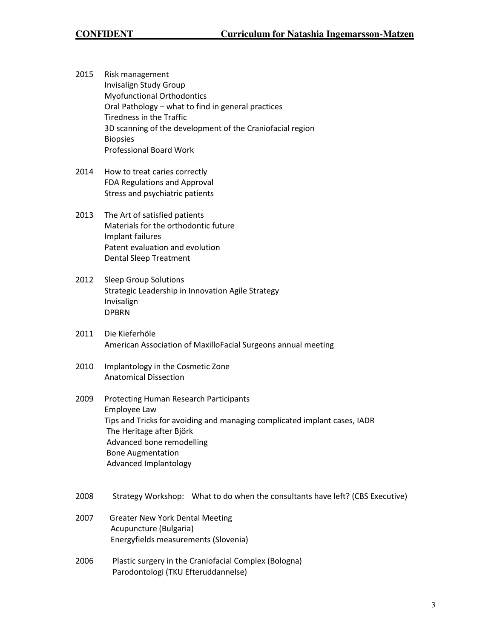2015 Risk management Invisalign Study Group Myofunctional Orthodontics Oral Pathology – what to find in general practices Tiredness in the Traffic 3D scanning of the development of the Craniofacial region Biopsies Professional Board Work

- 2014 How to treat caries correctly FDA Regulations and Approval Stress and psychiatric patients
- 2013 The Art of satisfied patients Materials for the orthodontic future Implant failures Patent evaluation and evolution Dental Sleep Treatment
- 2012 Sleep Group Solutions Strategic Leadership in Innovation Agile Strategy Invisalign DPBRN
- 2011 Die Kieferhöle American Association of MaxilloFacial Surgeons annual meeting
- 2010 Implantology in the Cosmetic Zone Anatomical Dissection
- 2009 Protecting Human Research Participants Employee Law Tips and Tricks for avoiding and managing complicated implant cases, IADR The Heritage after Björk Advanced bone remodelling Bone Augmentation Advanced Implantology
- 2008 Strategy Workshop: What to do when the consultants have left? (CBS Executive)
- 2007 Greater New York Dental Meeting Acupuncture (Bulgaria) Energyfields measurements (Slovenia)
- 2006 Plastic surgery in the Craniofacial Complex (Bologna) Parodontologi (TKU Efteruddannelse)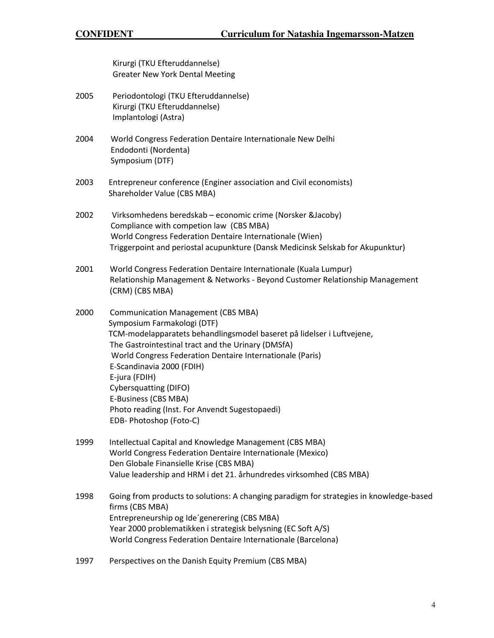Kirurgi (TKU Efteruddannelse) Greater New York Dental Meeting

- 2005 Periodontologi (TKU Efteruddannelse) Kirurgi (TKU Efteruddannelse) Implantologi (Astra)
- 2004 World Congress Federation Dentaire Internationale New Delhi Endodonti (Nordenta) Symposium (DTF)
- 2003 Entrepreneur conference (Enginer association and Civil economists) Shareholder Value (CBS MBA)
- 2002 Virksomhedens beredskab economic crime (Norsker &Jacoby) Compliance with competion law (CBS MBA) World Congress Federation Dentaire Internationale (Wien) Triggerpoint and periostal acupunkture (Dansk Medicinsk Selskab for Akupunktur)
- 2001 World Congress Federation Dentaire Internationale (Kuala Lumpur) Relationship Management & Networks - Beyond Customer Relationship Management (CRM) (CBS MBA)
- 2000 Communication Management (CBS MBA) Symposium Farmakologi (DTF) TCM-modelapparatets behandlingsmodel baseret på lidelser i Luftvejene, The Gastrointestinal tract and the Urinary (DMSfA) World Congress Federation Dentaire Internationale (Paris) E-Scandinavia 2000 (FDIH) E-jura (FDIH) Cybersquatting (DIFO) E-Business (CBS MBA) Photo reading (Inst. For Anvendt Sugestopaedi) EDB- Photoshop (Foto-C)
- 1999 Intellectual Capital and Knowledge Management (CBS MBA) World Congress Federation Dentaire Internationale (Mexico) Den Globale Finansielle Krise (CBS MBA) Value leadership and HRM i det 21. århundredes virksomhed (CBS MBA)
- 1998 Going from products to solutions: A changing paradigm for strategies in knowledge-based firms (CBS MBA) Entrepreneurship og Ide´generering (CBS MBA) Year 2000 problematikken i strategisk belysning (EC Soft A/S) World Congress Federation Dentaire Internationale (Barcelona)
- 1997 Perspectives on the Danish Equity Premium (CBS MBA)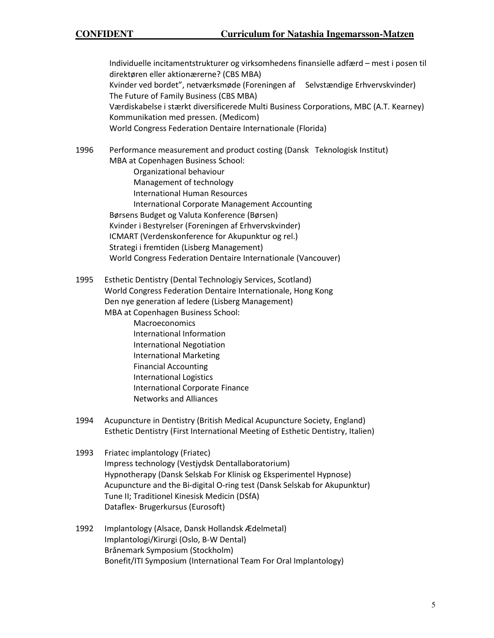Individuelle incitamentstrukturer og virksomhedens finansielle adfærd – mest i posen til direktøren eller aktionærerne? (CBS MBA) Kvinder ved bordet", netværksmøde (Foreningen af Selvstændige Erhvervskvinder) The Future of Family Business (CBS MBA) Værdiskabelse i stærkt diversificerede Multi Business Corporations, MBC (A.T. Kearney) Kommunikation med pressen. (Medicom) World Congress Federation Dentaire Internationale (Florida)

1996 Performance measurement and product costing (Dansk Teknologisk Institut) MBA at Copenhagen Business School:

- Organizational behaviour Management of technology International Human Resources International Corporate Management Accounting Børsens Budget og Valuta Konference (Børsen) Kvinder i Bestyrelser (Foreningen af Erhvervskvinder) ICMART (Verdenskonference for Akupunktur og rel.) Strategi i fremtiden (Lisberg Management) World Congress Federation Dentaire Internationale (Vancouver)
- 1995 Esthetic Dentistry (Dental Technologiy Services, Scotland) World Congress Federation Dentaire Internationale, Hong Kong Den nye generation af ledere (Lisberg Management) MBA at Copenhagen Business School:
	- **Macroeconomics**  International Information International Negotiation International Marketing Financial Accounting International Logistics International Corporate Finance Networks and Alliances
- 1994 Acupuncture in Dentistry (British Medical Acupuncture Society, England) Esthetic Dentistry (First International Meeting of Esthetic Dentistry, Italien)
- 1993 Friatec implantology (Friatec) Impress technology (Vestjydsk Dentallaboratorium) Hypnotherapy (Dansk Selskab For Klinisk og Eksperimentel Hypnose) Acupuncture and the Bi-digital O-ring test (Dansk Selskab for Akupunktur) Tune II; Traditionel Kinesisk Medicin (DSfA) Dataflex- Brugerkursus (Eurosoft)
- 1992 Implantology (Alsace, Dansk Hollandsk Ædelmetal) Implantologi/Kirurgi (Oslo, B-W Dental) Brånemark Symposium (Stockholm) Bonefit/ITI Symposium (International Team For Oral Implantology)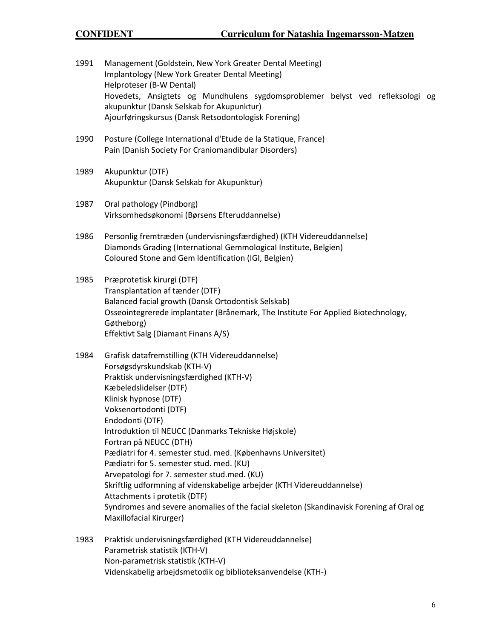- 1991 Management (Goldstein, New York Greater Dental Meeting) Implantology (New York Greater Dental Meeting) Helproteser (B-W Dental) Hovedets, Ansigtets og Mundhulens sygdomsproblemer belyst ved refleksologi og akupunktur (Dansk Selskab for Akupunktur) Ajourføringskursus (Dansk Retsodontologisk Forening)
- 1990 Posture (College International d'Etude de la Statique, France) Pain (Danish Society For Craniomandibular Disorders)
- 1989 Akupunktur (DTF) Akupunktur (Dansk Selskab for Akupunktur)
- 1987 Oral pathology (Pindborg) Virksomhedsøkonomi (Børsens Efteruddannelse)
- 1986 Personlig fremtræden (undervisningsfærdighed) (KTH Videreuddannelse) Diamonds Grading (International GemmologicaI Institute, Belgien) Coloured Stone and Gem Identification (IGI, Belgien)
- 1985 Præprotetisk kirurgi (DTF) Transplantation af tænder (DTF) Balanced facial growth (Dansk Ortodontisk Selskab) Osseointegrerede implantater (Brånemark, The Institute For Applied Biotechnology, Gøtheborg) Effektivt Salg (Diamant Finans A/S)
- 1984 Grafisk datafremstilling (KTH Videreuddannelse) Forsøgsdyrskundskab (KTH-V) Praktisk undervisningsfærdighed (KTH-V) Kæbeledslidelser (DTF) Klinisk hypnose (DTF) Voksenortodonti (DTF) Endodonti (DTF) Introduktion til NEUCC (Danmarks Tekniske Højskole) Fortran på NEUCC (DTH) Pædiatri for 4. semester stud. med. (Københavns Universitet) Pædiatri for 5. semester stud. med. (KU) Arvepatologi for 7. semester stud.med. (KU) Skriftlig udformning af videnskabelige arbejder (KTH Videreuddannelse) Attachments i protetik (DTF) Syndromes and severe anomalies of the facial skeleton (Skandinavisk Forening af Oral og Maxillofacial Kirurger)
- 1983 Praktisk undervisningsfærdighed (KTH Videreuddannelse) Parametrisk statistik (KTH-V) Non-parametrisk statistik (KTH-V) Videnskabelig arbejdsmetodik og biblioteksanvendelse (KTH-)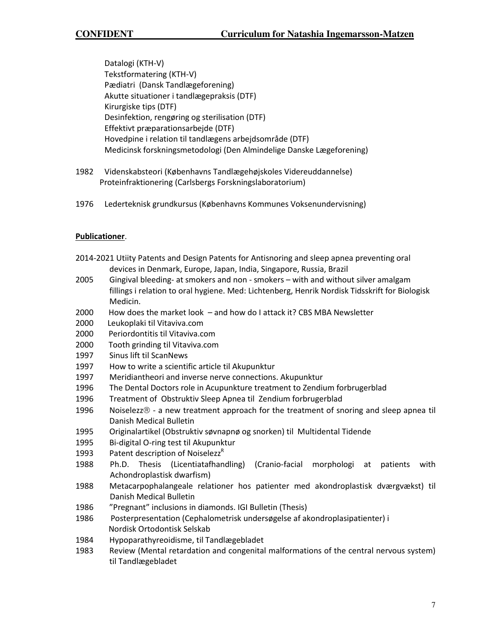Datalogi (KTH-V) Tekstformatering (KTH-V) Pædiatri (Dansk Tandlægeforening) Akutte situationer i tandlægepraksis (DTF) Kirurgiske tips (DTF) Desinfektion, rengøring og sterilisation (DTF) Effektivt præparationsarbejde (DTF) Hovedpine i relation til tandlægens arbejdsområde (DTF) Medicinsk forskningsmetodologi (Den Almindelige Danske Lægeforening)

- 1982 Videnskabsteori (Københavns Tandlægehøjskoles Videreuddannelse) Proteinfraktionering (Carlsbergs Forskningslaboratorium)
- 1976 Lederteknisk grundkursus (Københavns Kommunes Voksenundervisning)

## **Publicationer**.

- 2014-2021 Utiity Patents and Design Patents for Antisnoring and sleep apnea preventing oral devices in Denmark, Europe, Japan, India, Singapore, Russia, Brazil
- 2005 Gingival bleeding- at smokers and non smokers with and without silver amalgam fillings i relation to oral hygiene. Med: Lichtenberg, Henrik Nordisk Tidsskrift for Biologisk Medicin.
- 2000 How does the market look and how do I attack it? CBS MBA Newsletter
- 2000 Leukoplaki til Vitaviva.com
- 2000 Periordontitis til Vitaviva.com
- 2000 Tooth grinding til Vitaviva.com
- 1997 Sinus lift til ScanNews
- 1997 How to write a scientific article til Akupunktur
- 1997 Meridiantheori and inverse nerve connections. Akupunktur
- 1996 The Dental Doctors role in Acupunkture treatment to Zendium forbrugerblad
- 1996 Treatment of Obstruktiv Sleep Apnea til Zendium forbrugerblad
- 1996 Noiselezz $\otimes$  a new treatment approach for the treatment of snoring and sleep apnea til Danish Medical Bulletin
- 1995 Originalartikel (Obstruktiv søvnapnø og snorken) til Multidental Tidende
- 1995 Bi-digital O-ring test til Akupunktur
- 1993 Patent description of Noiselezz<sup>R</sup>
- 1988 Ph.D. Thesis (Licentiatafhandling) (Cranio-facial morphologi at patients with Achondroplastisk dwarfism)
- 1988 Metacarpophalangeale relationer hos patienter med akondroplastisk dværgvækst) til Danish Medical Bulletin
- 1986 "Pregnant" inclusions in diamonds. IGI Bulletin (Thesis)
- 1986 Posterpresentation (Cephalometrisk undersøgelse af akondroplasipatienter) i Nordisk Ortodontisk Selskab
- 1984 Hypoparathyreoidisme, til Tandlægebladet
- 1983 Review (Mental retardation and congenital malformations of the central nervous system) til Tandlægebladet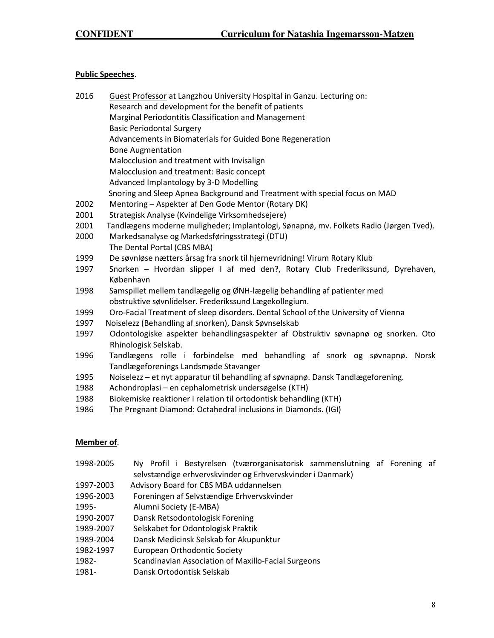## **Public Speeches**.

| 2016                                                 | Guest Professor at Langzhou University Hospital in Ganzu. Lecturing on:                |  |  |  |  |  |
|------------------------------------------------------|----------------------------------------------------------------------------------------|--|--|--|--|--|
|                                                      | Research and development for the benefit of patients                                   |  |  |  |  |  |
| Marginal Periodontitis Classification and Management |                                                                                        |  |  |  |  |  |
|                                                      | <b>Basic Periodontal Surgery</b>                                                       |  |  |  |  |  |
|                                                      | Advancements in Biomaterials for Guided Bone Regeneration                              |  |  |  |  |  |
|                                                      | <b>Bone Augmentation</b>                                                               |  |  |  |  |  |
|                                                      | Malocclusion and treatment with Invisalign                                             |  |  |  |  |  |
|                                                      | Malocclusion and treatment: Basic concept                                              |  |  |  |  |  |
|                                                      | Advanced Implantology by 3-D Modelling                                                 |  |  |  |  |  |
|                                                      | Snoring and Sleep Apnea Background and Treatment with special focus on MAD             |  |  |  |  |  |
| 2002                                                 | Mentoring - Aspekter af Den Gode Mentor (Rotary DK)                                    |  |  |  |  |  |
| 2001                                                 | Strategisk Analyse (Kvindelige Virksomhedsejere)                                       |  |  |  |  |  |
| 2001                                                 | Tandlægens moderne muligheder; Implantologi, Sønapnø, mv. Folkets Radio (Jørgen Tved). |  |  |  |  |  |
| 2000                                                 | Markedsanalyse og Markedsføringsstrategi (DTU)                                         |  |  |  |  |  |
|                                                      | The Dental Portal (CBS MBA)                                                            |  |  |  |  |  |
| 1999                                                 | De søvnløse nætters årsag fra snork til hjernevridning! Virum Rotary Klub              |  |  |  |  |  |
| 1997                                                 | Snorken - Hvordan slipper I af med den?, Rotary Club Frederikssund, Dyrehaven,         |  |  |  |  |  |
|                                                      | København                                                                              |  |  |  |  |  |
| 1998                                                 | Samspillet mellem tandlægelig og ØNH-lægelig behandling af patienter med               |  |  |  |  |  |
|                                                      | obstruktive søvnlidelser. Frederikssund Lægekollegium.                                 |  |  |  |  |  |
| 1999                                                 | Oro-Facial Treatment of sleep disorders. Dental School of the University of Vienna     |  |  |  |  |  |
| 1997                                                 | Noiselezz (Behandling af snorken), Dansk Søvnselskab                                   |  |  |  |  |  |
| 1997                                                 | Odontologiske aspekter behandlingsaspekter af Obstruktiv søvnapnø og snorken. Oto      |  |  |  |  |  |
|                                                      | Rhinologisk Selskab.                                                                   |  |  |  |  |  |
| 1996                                                 | Tandlægens rolle i forbindelse med behandling af snork og søvnapnø.<br>Norsk           |  |  |  |  |  |
|                                                      | Tandlægeforenings Landsmøde Stavanger                                                  |  |  |  |  |  |
| 1995                                                 | Noiselezz - et nyt apparatur til behandling af søvnapnø. Dansk Tandlægeforening.       |  |  |  |  |  |
| 1988                                                 | Achondroplasi – en cephalometrisk undersøgelse (KTH)                                   |  |  |  |  |  |
| 1988                                                 | Biokemiske reaktioner i relation til ortodontisk behandling (KTH)                      |  |  |  |  |  |
| 1986                                                 | The Pregnant Diamond: Octahedral inclusions in Diamonds. (IGI)                         |  |  |  |  |  |

### **Member of**.

| 1998-2005                                                  |  |  |  |  | Ny Profil i Bestyrelsen (tværorganisatorisk sammenslutning af Forening af |  |  |  |
|------------------------------------------------------------|--|--|--|--|---------------------------------------------------------------------------|--|--|--|
| selvstændige erhvervskvinder og Erhvervskvinder i Danmark) |  |  |  |  |                                                                           |  |  |  |

- 1997-2003 Advisory Board for CBS MBA uddannelsen
- 1996-2003 Foreningen af Selvstændige Erhvervskvinder
- 1995- Alumni Society (E-MBA)
- 1990-2007 Dansk Retsodontologisk Forening
- 1989-2007 Selskabet for Odontologisk Praktik
- 1989-2004 Dansk Medicinsk Selskab for Akupunktur
- 1982-1997 European Orthodontic Society
- 1982- Scandinavian Association of Maxillo-Facial Surgeons
- 1981- Dansk Ortodontisk Selskab